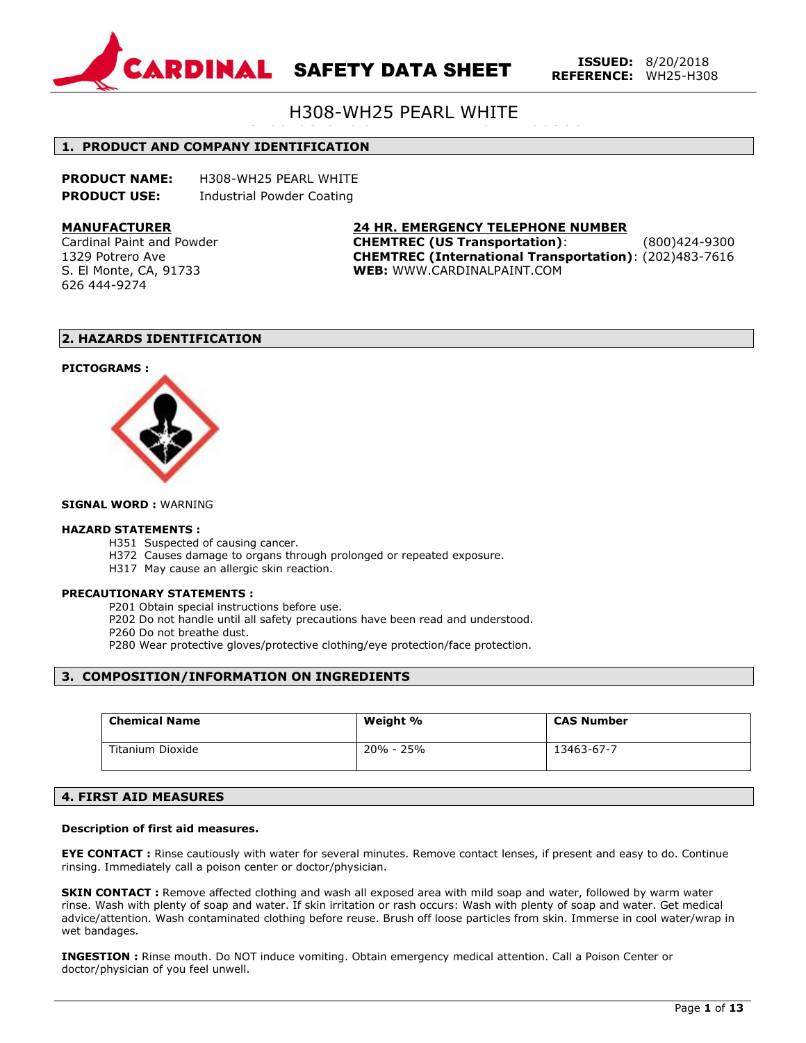

# H308-WH25 PEARL WHITE

### #12-09-02 STOCK STD#00220 **1. PRODUCT AND COMPANY IDENTIFICATION**

| <b>PRODUCT NAME:</b> | H308-WH25 PEARL WHITE     |
|----------------------|---------------------------|
| <b>PRODUCT USE:</b>  | Industrial Powder Coating |

#### **MANUFACTURER**

Cardinal Paint and Powder 1329 Potrero Ave S. El Monte, CA, 91733 626 444-9274

## **24 HR. EMERGENCY TELEPHONE NUMBER**

**CHEMTREC (US Transportation)**: (800)424-9300 **CHEMTREC (International Transportation)**: (202)483-7616 **WEB:** WWW.CARDINALPAINT.COM

#### **2. HAZARDS IDENTIFICATION**

#### **PICTOGRAMS :**



#### **SIGNAL WORD :** WARNING

#### **HAZARD STATEMENTS :**

- H351 Suspected of causing cancer.
- H372 Causes damage to organs through prolonged or repeated exposure.
- H317 May cause an allergic skin reaction.

#### **PRECAUTIONARY STATEMENTS :**

P201 Obtain special instructions before use.

- P202 Do not handle until all safety precautions have been read and understood.
- P260 Do not breathe dust.
- P280 Wear protective gloves/protective clothing/eye protection/face protection.

## **3. COMPOSITION/INFORMATION ON INGREDIENTS**

| <b>Chemical Name</b> | Weight %  | <b>CAS Number</b> |
|----------------------|-----------|-------------------|
| Titanium Dioxide     | 20% - 25% | 13463-67-7        |

#### **4. FIRST AID MEASURES**

#### **Description of first aid measures.**

**EYE CONTACT :** Rinse cautiously with water for several minutes. Remove contact lenses, if present and easy to do. Continue rinsing. Immediately call a poison center or doctor/physician.

**SKIN CONTACT :** Remove affected clothing and wash all exposed area with mild soap and water, followed by warm water rinse. Wash with plenty of soap and water. If skin irritation or rash occurs: Wash with plenty of soap and water. Get medical advice/attention. Wash contaminated clothing before reuse. Brush off loose particles from skin. Immerse in cool water/wrap in wet bandages.

**INGESTION :** Rinse mouth. Do NOT induce vomiting. Obtain emergency medical attention. Call a Poison Center or doctor/physician of you feel unwell.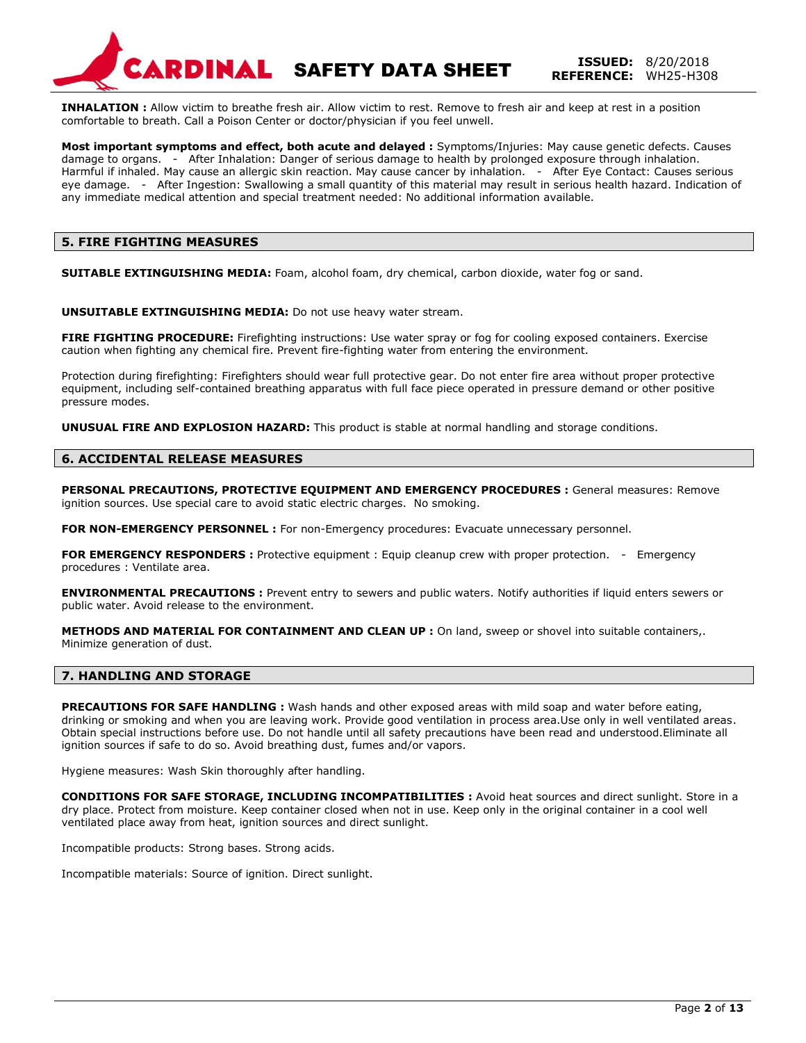RDINAL **SAFETY DATA SHEET ISSUED:** 8/20/2018

**REFERENCE:** WH25-H308

**INHALATION :** Allow victim to breathe fresh air. Allow victim to rest. Remove to fresh air and keep at rest in a position comfortable to breath. Call a Poison Center or doctor/physician if you feel unwell.

**Most important symptoms and effect, both acute and delayed :** Symptoms/Injuries: May cause genetic defects. Causes damage to organs. - After Inhalation: Danger of serious damage to health by prolonged exposure through inhalation. Harmful if inhaled. May cause an allergic skin reaction. May cause cancer by inhalation. - After Eye Contact: Causes serious eye damage. - After Ingestion: Swallowing a small quantity of this material may result in serious health hazard. Indication of any immediate medical attention and special treatment needed: No additional information available.

## **5. FIRE FIGHTING MEASURES**

**SUITABLE EXTINGUISHING MEDIA:** Foam, alcohol foam, dry chemical, carbon dioxide, water fog or sand.

**UNSUITABLE EXTINGUISHING MEDIA:** Do not use heavy water stream.

**FIRE FIGHTING PROCEDURE:** Firefighting instructions: Use water spray or fog for cooling exposed containers. Exercise caution when fighting any chemical fire. Prevent fire-fighting water from entering the environment.

Protection during firefighting: Firefighters should wear full protective gear. Do not enter fire area without proper protective equipment, including self-contained breathing apparatus with full face piece operated in pressure demand or other positive pressure modes.

**UNUSUAL FIRE AND EXPLOSION HAZARD:** This product is stable at normal handling and storage conditions.

### **6. ACCIDENTAL RELEASE MEASURES**

**PERSONAL PRECAUTIONS, PROTECTIVE EQUIPMENT AND EMERGENCY PROCEDURES :** General measures: Remove ignition sources. Use special care to avoid static electric charges. No smoking.

**FOR NON-EMERGENCY PERSONNEL :** For non-Emergency procedures: Evacuate unnecessary personnel.

**FOR EMERGENCY RESPONDERS :** Protective equipment : Equip cleanup crew with proper protection. - Emergency procedures : Ventilate area.

**ENVIRONMENTAL PRECAUTIONS :** Prevent entry to sewers and public waters. Notify authorities if liquid enters sewers or public water. Avoid release to the environment.

**METHODS AND MATERIAL FOR CONTAINMENT AND CLEAN UP :** On land, sweep or shovel into suitable containers,. Minimize generation of dust.

#### **7. HANDLING AND STORAGE**

**PRECAUTIONS FOR SAFE HANDLING :** Wash hands and other exposed areas with mild soap and water before eating, drinking or smoking and when you are leaving work. Provide good ventilation in process area.Use only in well ventilated areas. Obtain special instructions before use. Do not handle until all safety precautions have been read and understood.Eliminate all ignition sources if safe to do so. Avoid breathing dust, fumes and/or vapors.

Hygiene measures: Wash Skin thoroughly after handling.

**CONDITIONS FOR SAFE STORAGE, INCLUDING INCOMPATIBILITIES :** Avoid heat sources and direct sunlight. Store in a dry place. Protect from moisture. Keep container closed when not in use. Keep only in the original container in a cool well ventilated place away from heat, ignition sources and direct sunlight.

Incompatible products: Strong bases. Strong acids.

Incompatible materials: Source of ignition. Direct sunlight.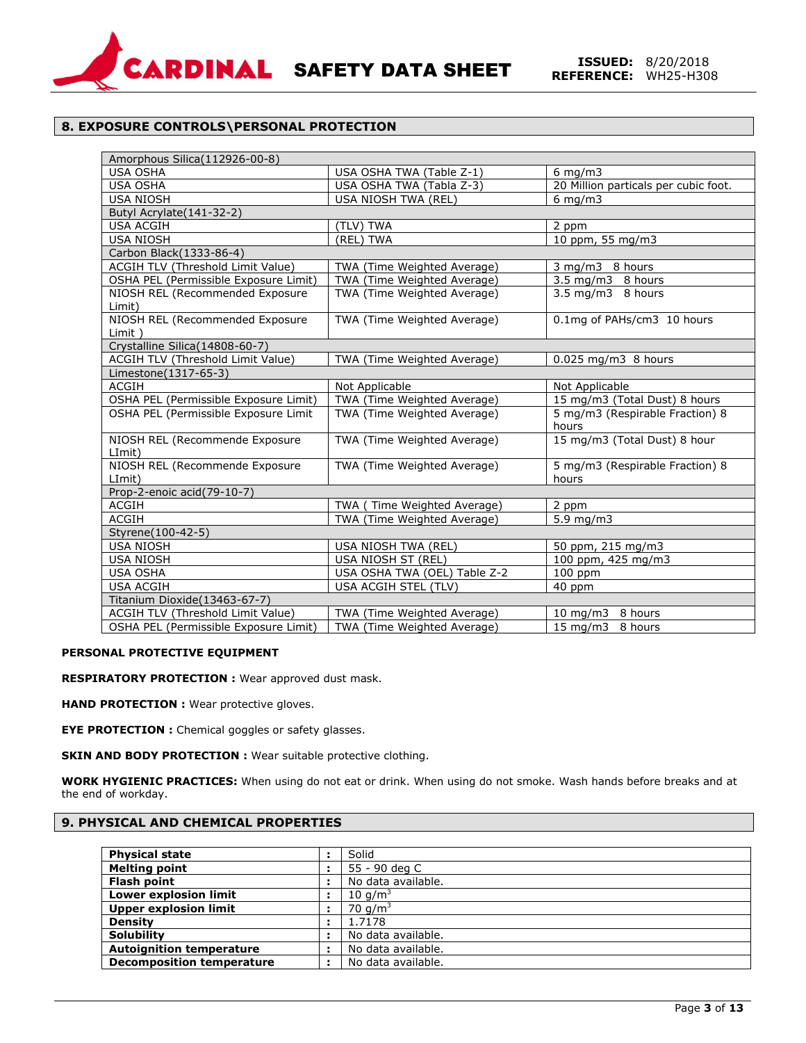

## **8. EXPOSURE CONTROLS\PERSONAL PROTECTION**

| Amorphous Silica(112926-00-8)             |                              |                                          |  |
|-------------------------------------------|------------------------------|------------------------------------------|--|
| <b>USA OSHA</b>                           | USA OSHA TWA (Table Z-1)     | $6 \text{ mg/m}$                         |  |
| <b>USA OSHA</b>                           | USA OSHA TWA (Tabla Z-3)     | 20 Million particals per cubic foot.     |  |
| <b>USA NIOSH</b>                          | USA NIOSH TWA (REL)          | $6 \text{ mg/m}$ 3                       |  |
| Butyl Acrylate(141-32-2)                  |                              |                                          |  |
| <b>USA ACGIH</b>                          | (TLV) TWA                    | 2 ppm                                    |  |
| <b>USA NIOSH</b>                          | (REL) TWA                    | 10 ppm, 55 mg/m3                         |  |
| Carbon Black(1333-86-4)                   |                              |                                          |  |
| ACGIH TLV (Threshold Limit Value)         | TWA (Time Weighted Average)  | 3 mg/m3 8 hours                          |  |
| OSHA PEL (Permissible Exposure Limit)     | TWA (Time Weighted Average)  | 3.5 mg/m3 8 hours                        |  |
| NIOSH REL (Recommended Exposure<br>Limit) | TWA (Time Weighted Average)  | 3.5 mg/m3 8 hours                        |  |
| NIOSH REL (Recommended Exposure<br>Limit) | TWA (Time Weighted Average)  | 0.1mg of PAHs/cm3 10 hours               |  |
| Crystalline Silica(14808-60-7)            |                              |                                          |  |
| ACGIH TLV (Threshold Limit Value)         | TWA (Time Weighted Average)  | $0.025$ mg/m $3$ 8 hours                 |  |
| Limestone(1317-65-3)                      |                              |                                          |  |
| ACGIH                                     | Not Applicable               | Not Applicable                           |  |
| OSHA PEL (Permissible Exposure Limit)     | TWA (Time Weighted Average)  | 15 mg/m3 (Total Dust) 8 hours            |  |
| OSHA PEL (Permissible Exposure Limit      | TWA (Time Weighted Average)  | 5 mg/m3 (Respirable Fraction) 8<br>hours |  |
| NIOSH REL (Recommende Exposure<br>LImit)  | TWA (Time Weighted Average)  | 15 mg/m3 (Total Dust) 8 hour             |  |
| NIOSH REL (Recommende Exposure<br>LImit)  | TWA (Time Weighted Average)  | 5 mg/m3 (Respirable Fraction) 8<br>hours |  |
| Prop-2-enoic acid(79-10-7)                |                              |                                          |  |
| ACGIH                                     | TWA (Time Weighted Average)  | 2 ppm                                    |  |
| <b>ACGIH</b>                              | TWA (Time Weighted Average)  | $5.9$ mg/m $3$                           |  |
| Styrene(100-42-5)                         |                              |                                          |  |
| <b>USA NIOSH</b>                          | USA NIOSH TWA (REL)          | 50 ppm, 215 mg/m3                        |  |
| <b>USA NIOSH</b>                          | USA NIOSH ST (REL)           | 100 ppm, 425 mg/m3                       |  |
| <b>USA OSHA</b>                           | USA OSHA TWA (OEL) Table Z-2 | $100$ ppm                                |  |
| <b>USA ACGIH</b>                          | USA ACGIH STEL (TLV)         | 40 ppm                                   |  |
| Titanium Dioxide(13463-67-7)              |                              |                                          |  |
| ACGIH TLV (Threshold Limit Value)         | TWA (Time Weighted Average)  | 10 mg/m3 8 hours                         |  |
| OSHA PEL (Permissible Exposure Limit)     | TWA (Time Weighted Average)  | 15 mg/m3 8 hours                         |  |

## **PERSONAL PROTECTIVE EQUIPMENT**

**RESPIRATORY PROTECTION :** Wear approved dust mask.

**HAND PROTECTION :** Wear protective gloves.

**EYE PROTECTION :** Chemical goggles or safety glasses.

**SKIN AND BODY PROTECTION :** Wear suitable protective clothing.

**WORK HYGIENIC PRACTICES:** When using do not eat or drink. When using do not smoke. Wash hands before breaks and at the end of workday.

## **9. PHYSICAL AND CHEMICAL PROPERTIES**

| <b>Physical state</b>            |                | Solid              |
|----------------------------------|----------------|--------------------|
| <b>Melting point</b>             | $\blacksquare$ | 55 - 90 deg C      |
| Flash point                      | ٠              | No data available. |
| <b>Lower explosion limit</b>     |                | 10 $q/m3$          |
| <b>Upper explosion limit</b>     |                | 70 $q/m^3$         |
| <b>Density</b>                   |                | 1.7178             |
| <b>Solubility</b>                | н              | No data available. |
| <b>Autoignition temperature</b>  | ٠              | No data available. |
| <b>Decomposition temperature</b> | ÷              | No data available. |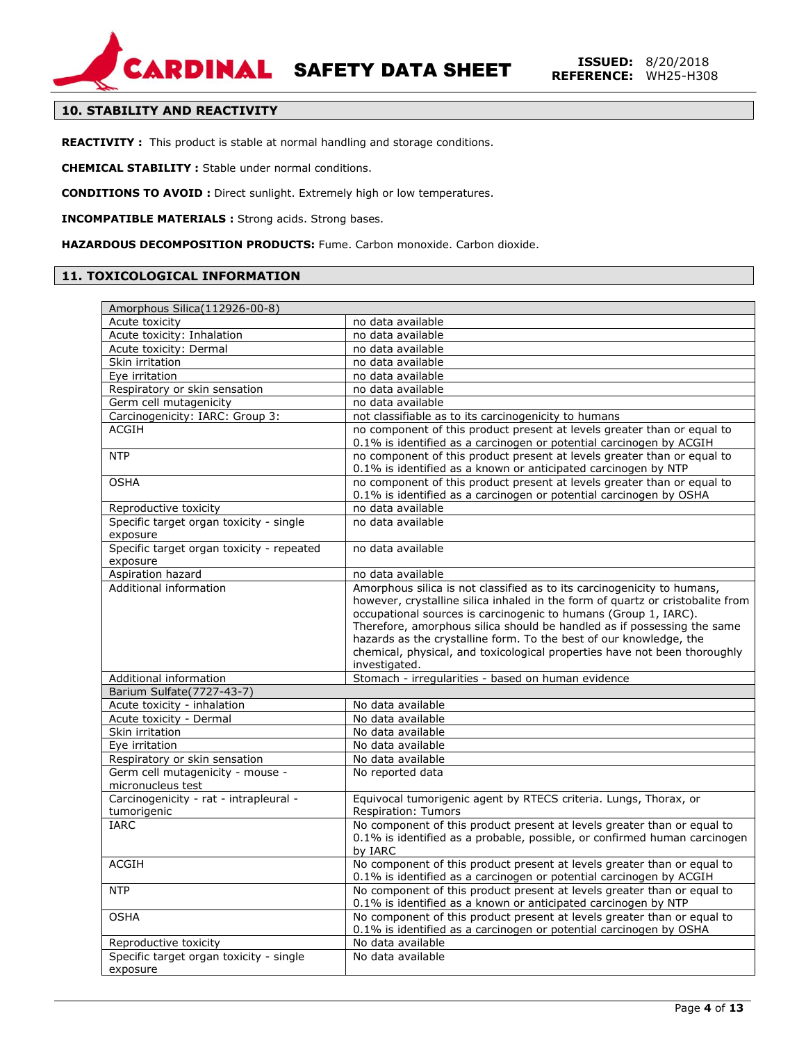

## **10. STABILITY AND REACTIVITY**

**REACTIVITY :** This product is stable at normal handling and storage conditions.

**CHEMICAL STABILITY :** Stable under normal conditions.

**CONDITIONS TO AVOID :** Direct sunlight. Extremely high or low temperatures.

**INCOMPATIBLE MATERIALS :** Strong acids. Strong bases.

**HAZARDOUS DECOMPOSITION PRODUCTS:** Fume. Carbon monoxide. Carbon dioxide.

## **11. TOXICOLOGICAL INFORMATION**

| Amorphous Silica(112926-00-8)                         |                                                                                                                                                                                                                                                                                                                                                                                                                                                                             |
|-------------------------------------------------------|-----------------------------------------------------------------------------------------------------------------------------------------------------------------------------------------------------------------------------------------------------------------------------------------------------------------------------------------------------------------------------------------------------------------------------------------------------------------------------|
| Acute toxicity                                        | no data available                                                                                                                                                                                                                                                                                                                                                                                                                                                           |
| Acute toxicity: Inhalation                            | no data available                                                                                                                                                                                                                                                                                                                                                                                                                                                           |
| Acute toxicity: Dermal                                | no data available                                                                                                                                                                                                                                                                                                                                                                                                                                                           |
| Skin irritation                                       | no data available                                                                                                                                                                                                                                                                                                                                                                                                                                                           |
| Eye irritation                                        | no data available                                                                                                                                                                                                                                                                                                                                                                                                                                                           |
| Respiratory or skin sensation                         | no data available                                                                                                                                                                                                                                                                                                                                                                                                                                                           |
| Germ cell mutagenicity                                | no data available                                                                                                                                                                                                                                                                                                                                                                                                                                                           |
| Carcinogenicity: IARC: Group 3:                       | not classifiable as to its carcinogenicity to humans                                                                                                                                                                                                                                                                                                                                                                                                                        |
| <b>ACGIH</b>                                          | no component of this product present at levels greater than or equal to<br>0.1% is identified as a carcinogen or potential carcinogen by ACGIH                                                                                                                                                                                                                                                                                                                              |
| <b>NTP</b>                                            | no component of this product present at levels greater than or equal to<br>0.1% is identified as a known or anticipated carcinogen by NTP                                                                                                                                                                                                                                                                                                                                   |
| <b>OSHA</b>                                           | no component of this product present at levels greater than or equal to<br>0.1% is identified as a carcinogen or potential carcinogen by OSHA                                                                                                                                                                                                                                                                                                                               |
| Reproductive toxicity                                 | no data available                                                                                                                                                                                                                                                                                                                                                                                                                                                           |
| Specific target organ toxicity - single<br>exposure   | no data available                                                                                                                                                                                                                                                                                                                                                                                                                                                           |
| Specific target organ toxicity - repeated<br>exposure | no data available                                                                                                                                                                                                                                                                                                                                                                                                                                                           |
| Aspiration hazard                                     | no data available                                                                                                                                                                                                                                                                                                                                                                                                                                                           |
| Additional information                                | Amorphous silica is not classified as to its carcinogenicity to humans,<br>however, crystalline silica inhaled in the form of quartz or cristobalite from<br>occupational sources is carcinogenic to humans (Group 1, IARC).<br>Therefore, amorphous silica should be handled as if possessing the same<br>hazards as the crystalline form. To the best of our knowledge, the<br>chemical, physical, and toxicological properties have not been thoroughly<br>investigated. |
| Additional information                                | Stomach - irregularities - based on human evidence                                                                                                                                                                                                                                                                                                                                                                                                                          |
| Barium Sulfate(7727-43-7)                             |                                                                                                                                                                                                                                                                                                                                                                                                                                                                             |
| Acute toxicity - inhalation                           | No data available                                                                                                                                                                                                                                                                                                                                                                                                                                                           |
| Acute toxicity - Dermal                               | No data available                                                                                                                                                                                                                                                                                                                                                                                                                                                           |
| Skin irritation                                       | No data available                                                                                                                                                                                                                                                                                                                                                                                                                                                           |
| Eye irritation                                        | No data available                                                                                                                                                                                                                                                                                                                                                                                                                                                           |
| Respiratory or skin sensation                         | No data available                                                                                                                                                                                                                                                                                                                                                                                                                                                           |
| Germ cell mutagenicity - mouse -                      | No reported data                                                                                                                                                                                                                                                                                                                                                                                                                                                            |
| micronucleus test                                     |                                                                                                                                                                                                                                                                                                                                                                                                                                                                             |
| Carcinogenicity - rat - intrapleural -                | Equivocal tumorigenic agent by RTECS criteria. Lungs, Thorax, or                                                                                                                                                                                                                                                                                                                                                                                                            |
| tumorigenic                                           | Respiration: Tumors                                                                                                                                                                                                                                                                                                                                                                                                                                                         |
| <b>IARC</b>                                           | No component of this product present at levels greater than or equal to<br>0.1% is identified as a probable, possible, or confirmed human carcinogen<br>by IARC                                                                                                                                                                                                                                                                                                             |
| <b>ACGIH</b>                                          | No component of this product present at levels greater than or equal to<br>0.1% is identified as a carcinogen or potential carcinogen by ACGIH                                                                                                                                                                                                                                                                                                                              |
| <b>NTP</b>                                            | No component of this product present at levels greater than or equal to<br>0.1% is identified as a known or anticipated carcinogen by NTP                                                                                                                                                                                                                                                                                                                                   |
| <b>OSHA</b>                                           | No component of this product present at levels greater than or equal to<br>0.1% is identified as a carcinogen or potential carcinogen by OSHA                                                                                                                                                                                                                                                                                                                               |
| Reproductive toxicity                                 | No data available                                                                                                                                                                                                                                                                                                                                                                                                                                                           |
| Specific target organ toxicity - single               | No data available                                                                                                                                                                                                                                                                                                                                                                                                                                                           |
| exposure                                              |                                                                                                                                                                                                                                                                                                                                                                                                                                                                             |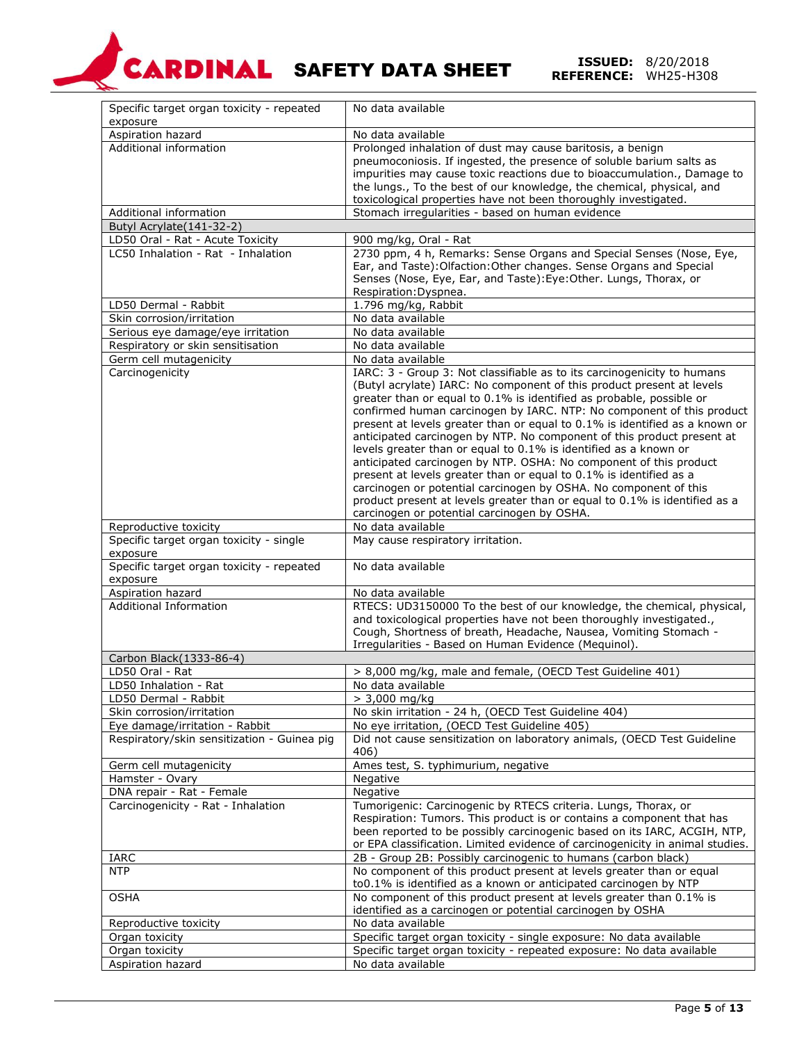

**REFERENCE:** 8/20/2018<br>**REFERENCE:** WH25-H308

| Specific target organ toxicity - repeated<br>exposure | No data available                                                                                                                                                                                                                                                                                                                                                                                                                                                                                                                                                                                                                                                                                                                                                                                                                                                                               |
|-------------------------------------------------------|-------------------------------------------------------------------------------------------------------------------------------------------------------------------------------------------------------------------------------------------------------------------------------------------------------------------------------------------------------------------------------------------------------------------------------------------------------------------------------------------------------------------------------------------------------------------------------------------------------------------------------------------------------------------------------------------------------------------------------------------------------------------------------------------------------------------------------------------------------------------------------------------------|
| Aspiration hazard                                     | No data available                                                                                                                                                                                                                                                                                                                                                                                                                                                                                                                                                                                                                                                                                                                                                                                                                                                                               |
| Additional information                                | Prolonged inhalation of dust may cause baritosis, a benign<br>pneumoconiosis. If ingested, the presence of soluble barium salts as<br>impurities may cause toxic reactions due to bioaccumulation., Damage to<br>the lungs., To the best of our knowledge, the chemical, physical, and<br>toxicological properties have not been thoroughly investigated.                                                                                                                                                                                                                                                                                                                                                                                                                                                                                                                                       |
| Additional information                                | Stomach irregularities - based on human evidence                                                                                                                                                                                                                                                                                                                                                                                                                                                                                                                                                                                                                                                                                                                                                                                                                                                |
| Butyl Acrylate(141-32-2)                              |                                                                                                                                                                                                                                                                                                                                                                                                                                                                                                                                                                                                                                                                                                                                                                                                                                                                                                 |
| LD50 Oral - Rat - Acute Toxicity                      | 900 mg/kg, Oral - Rat                                                                                                                                                                                                                                                                                                                                                                                                                                                                                                                                                                                                                                                                                                                                                                                                                                                                           |
| LC50 Inhalation - Rat - Inhalation                    | 2730 ppm, 4 h, Remarks: Sense Organs and Special Senses (Nose, Eye,<br>Ear, and Taste): Olfaction: Other changes. Sense Organs and Special<br>Senses (Nose, Eye, Ear, and Taste): Eye: Other. Lungs, Thorax, or<br>Respiration: Dyspnea.                                                                                                                                                                                                                                                                                                                                                                                                                                                                                                                                                                                                                                                        |
| LD50 Dermal - Rabbit                                  | 1.796 mg/kg, Rabbit                                                                                                                                                                                                                                                                                                                                                                                                                                                                                                                                                                                                                                                                                                                                                                                                                                                                             |
| Skin corrosion/irritation                             | No data available                                                                                                                                                                                                                                                                                                                                                                                                                                                                                                                                                                                                                                                                                                                                                                                                                                                                               |
| Serious eye damage/eye irritation                     | No data available                                                                                                                                                                                                                                                                                                                                                                                                                                                                                                                                                                                                                                                                                                                                                                                                                                                                               |
| Respiratory or skin sensitisation                     | No data available                                                                                                                                                                                                                                                                                                                                                                                                                                                                                                                                                                                                                                                                                                                                                                                                                                                                               |
| Germ cell mutagenicity<br>Carcinogenicity             | No data available<br>IARC: 3 - Group 3: Not classifiable as to its carcinogenicity to humans<br>(Butyl acrylate) IARC: No component of this product present at levels<br>greater than or equal to 0.1% is identified as probable, possible or<br>confirmed human carcinogen by IARC. NTP: No component of this product<br>present at levels greater than or equal to 0.1% is identified as a known or<br>anticipated carcinogen by NTP. No component of this product present at<br>levels greater than or equal to 0.1% is identified as a known or<br>anticipated carcinogen by NTP. OSHA: No component of this product<br>present at levels greater than or equal to 0.1% is identified as a<br>carcinogen or potential carcinogen by OSHA. No component of this<br>product present at levels greater than or equal to 0.1% is identified as a<br>carcinogen or potential carcinogen by OSHA. |
| Reproductive toxicity                                 | No data available                                                                                                                                                                                                                                                                                                                                                                                                                                                                                                                                                                                                                                                                                                                                                                                                                                                                               |
| Specific target organ toxicity - single<br>exposure   | May cause respiratory irritation.                                                                                                                                                                                                                                                                                                                                                                                                                                                                                                                                                                                                                                                                                                                                                                                                                                                               |
| Specific target organ toxicity - repeated<br>exposure | No data available                                                                                                                                                                                                                                                                                                                                                                                                                                                                                                                                                                                                                                                                                                                                                                                                                                                                               |
| Aspiration hazard                                     | No data available                                                                                                                                                                                                                                                                                                                                                                                                                                                                                                                                                                                                                                                                                                                                                                                                                                                                               |
| <b>Additional Information</b>                         | RTECS: UD3150000 To the best of our knowledge, the chemical, physical,<br>and toxicological properties have not been thoroughly investigated.,<br>Cough, Shortness of breath, Headache, Nausea, Vomiting Stomach -<br>Irregularities - Based on Human Evidence (Mequinol).                                                                                                                                                                                                                                                                                                                                                                                                                                                                                                                                                                                                                      |
| Carbon Black(1333-86-4)                               |                                                                                                                                                                                                                                                                                                                                                                                                                                                                                                                                                                                                                                                                                                                                                                                                                                                                                                 |
| LD50 Oral - Rat                                       | > 8,000 mg/kg, male and female, (OECD Test Guideline 401)                                                                                                                                                                                                                                                                                                                                                                                                                                                                                                                                                                                                                                                                                                                                                                                                                                       |
| LD50 Inhalation - Rat                                 | No data available                                                                                                                                                                                                                                                                                                                                                                                                                                                                                                                                                                                                                                                                                                                                                                                                                                                                               |
| LD50 Dermal - Rabbit                                  | $> 3,000$ mg/kg                                                                                                                                                                                                                                                                                                                                                                                                                                                                                                                                                                                                                                                                                                                                                                                                                                                                                 |
| Skin corrosion/irritation                             | No skin irritation - 24 h, (OECD Test Guideline 404)                                                                                                                                                                                                                                                                                                                                                                                                                                                                                                                                                                                                                                                                                                                                                                                                                                            |
| Eye damage/irritation - Rabbit                        | No eye irritation, (OECD Test Guideline 405)                                                                                                                                                                                                                                                                                                                                                                                                                                                                                                                                                                                                                                                                                                                                                                                                                                                    |
| Respiratory/skin sensitization - Guinea pig           | Did not cause sensitization on laboratory animals, (OECD Test Guideline<br>406)                                                                                                                                                                                                                                                                                                                                                                                                                                                                                                                                                                                                                                                                                                                                                                                                                 |
| Germ cell mutagenicity                                | Ames test, S. typhimurium, negative                                                                                                                                                                                                                                                                                                                                                                                                                                                                                                                                                                                                                                                                                                                                                                                                                                                             |
| Hamster - Ovary                                       | Negative                                                                                                                                                                                                                                                                                                                                                                                                                                                                                                                                                                                                                                                                                                                                                                                                                                                                                        |
| DNA repair - Rat - Female                             | Negative                                                                                                                                                                                                                                                                                                                                                                                                                                                                                                                                                                                                                                                                                                                                                                                                                                                                                        |
| Carcinogenicity - Rat - Inhalation                    | Tumorigenic: Carcinogenic by RTECS criteria. Lungs, Thorax, or<br>Respiration: Tumors. This product is or contains a component that has<br>been reported to be possibly carcinogenic based on its IARC, ACGIH, NTP,<br>or EPA classification. Limited evidence of carcinogenicity in animal studies.                                                                                                                                                                                                                                                                                                                                                                                                                                                                                                                                                                                            |
| <b>IARC</b>                                           | 2B - Group 2B: Possibly carcinogenic to humans (carbon black)                                                                                                                                                                                                                                                                                                                                                                                                                                                                                                                                                                                                                                                                                                                                                                                                                                   |
| <b>NTP</b>                                            | No component of this product present at levels greater than or equal<br>to0.1% is identified as a known or anticipated carcinogen by NTP                                                                                                                                                                                                                                                                                                                                                                                                                                                                                                                                                                                                                                                                                                                                                        |
| <b>OSHA</b>                                           | No component of this product present at levels greater than 0.1% is                                                                                                                                                                                                                                                                                                                                                                                                                                                                                                                                                                                                                                                                                                                                                                                                                             |
|                                                       | identified as a carcinogen or potential carcinogen by OSHA                                                                                                                                                                                                                                                                                                                                                                                                                                                                                                                                                                                                                                                                                                                                                                                                                                      |
| Reproductive toxicity                                 | No data available                                                                                                                                                                                                                                                                                                                                                                                                                                                                                                                                                                                                                                                                                                                                                                                                                                                                               |
| Organ toxicity                                        | Specific target organ toxicity - single exposure: No data available                                                                                                                                                                                                                                                                                                                                                                                                                                                                                                                                                                                                                                                                                                                                                                                                                             |
| Organ toxicity                                        | Specific target organ toxicity - repeated exposure: No data available                                                                                                                                                                                                                                                                                                                                                                                                                                                                                                                                                                                                                                                                                                                                                                                                                           |
| Aspiration hazard                                     | No data available                                                                                                                                                                                                                                                                                                                                                                                                                                                                                                                                                                                                                                                                                                                                                                                                                                                                               |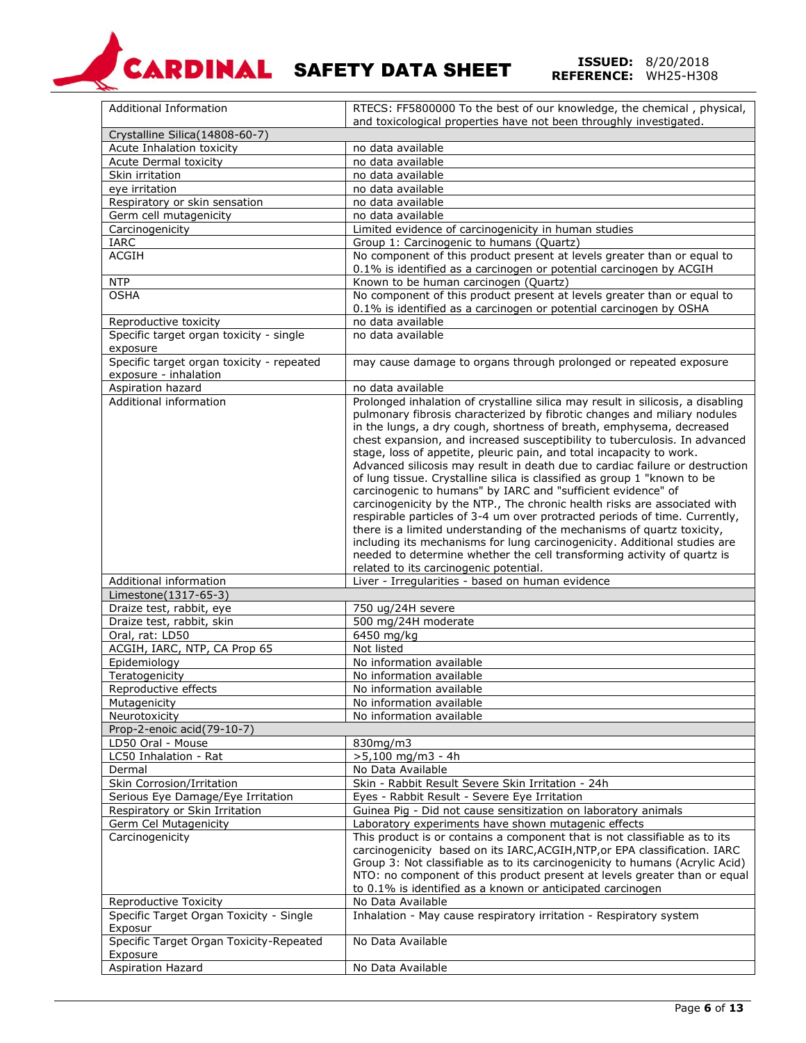

**REFERENCE:** 8/20/2018<br>**REFERENCE:** WH25-H308

| Additional Information                              | RTECS: FF5800000 To the best of our knowledge, the chemical, physical,                                                                   |
|-----------------------------------------------------|------------------------------------------------------------------------------------------------------------------------------------------|
| Crystalline Silica(14808-60-7)                      | and toxicological properties have not been throughly investigated.                                                                       |
| Acute Inhalation toxicity                           | no data available                                                                                                                        |
| Acute Dermal toxicity                               | no data available                                                                                                                        |
| Skin irritation                                     | no data available                                                                                                                        |
| eye irritation                                      | no data available                                                                                                                        |
| Respiratory or skin sensation                       | no data available                                                                                                                        |
| Germ cell mutagenicity                              | no data available                                                                                                                        |
| Carcinogenicity                                     | Limited evidence of carcinogenicity in human studies                                                                                     |
| <b>IARC</b>                                         | Group 1: Carcinogenic to humans (Quartz)                                                                                                 |
| <b>ACGIH</b>                                        | No component of this product present at levels greater than or equal to                                                                  |
|                                                     | 0.1% is identified as a carcinogen or potential carcinogen by ACGIH                                                                      |
| <b>NTP</b>                                          | Known to be human carcinogen (Quartz)                                                                                                    |
| <b>OSHA</b>                                         | No component of this product present at levels greater than or equal to                                                                  |
|                                                     | 0.1% is identified as a carcinogen or potential carcinogen by OSHA                                                                       |
| Reproductive toxicity                               | no data available                                                                                                                        |
| Specific target organ toxicity - single<br>exposure | no data available                                                                                                                        |
| Specific target organ toxicity - repeated           | may cause damage to organs through prolonged or repeated exposure                                                                        |
| exposure - inhalation                               |                                                                                                                                          |
| Aspiration hazard                                   | no data available                                                                                                                        |
| Additional information                              | Prolonged inhalation of crystalline silica may result in silicosis, a disabling                                                          |
|                                                     | pulmonary fibrosis characterized by fibrotic changes and miliary nodules                                                                 |
|                                                     | in the lungs, a dry cough, shortness of breath, emphysema, decreased                                                                     |
|                                                     | chest expansion, and increased susceptibility to tuberculosis. In advanced                                                               |
|                                                     | stage, loss of appetite, pleuric pain, and total incapacity to work.                                                                     |
|                                                     | Advanced silicosis may result in death due to cardiac failure or destruction                                                             |
|                                                     | of lung tissue. Crystalline silica is classified as group 1 "known to be<br>carcinogenic to humans" by IARC and "sufficient evidence" of |
|                                                     | carcinogenicity by the NTP., The chronic health risks are associated with                                                                |
|                                                     | respirable particles of 3-4 um over protracted periods of time. Currently,                                                               |
|                                                     | there is a limited understanding of the mechanisms of quartz toxicity,                                                                   |
|                                                     |                                                                                                                                          |
|                                                     | including its mechanisms for lung carcinogenicity. Additional studies are                                                                |
|                                                     | needed to determine whether the cell transforming activity of quartz is                                                                  |
|                                                     | related to its carcinogenic potential.                                                                                                   |
| Additional information                              | Liver - Irregularities - based on human evidence                                                                                         |
| Limestone(1317-65-3)                                |                                                                                                                                          |
| Draize test, rabbit, eye                            | 750 ug/24H severe                                                                                                                        |
| Draize test, rabbit, skin                           | 500 mg/24H moderate                                                                                                                      |
| Oral, rat: LD50                                     | 6450 mg/kg                                                                                                                               |
| ACGIH, IARC, NTP, CA Prop 65                        | Not listed                                                                                                                               |
| Epidemiology                                        | No information available                                                                                                                 |
| Teratogenicity                                      | No information available                                                                                                                 |
| Reproductive effects                                | No information available                                                                                                                 |
| <b>Mutagenicity</b>                                 | No information available                                                                                                                 |
| Neurotoxicity                                       | No information available                                                                                                                 |
| Prop-2-enoic acid(79-10-7)                          |                                                                                                                                          |
| LD50 Oral - Mouse<br>LC50 Inhalation - Rat          | 830mg/m3<br>$>5,100$ mg/m3 - 4h                                                                                                          |
| Dermal                                              | No Data Available                                                                                                                        |
| Skin Corrosion/Irritation                           | Skin - Rabbit Result Severe Skin Irritation - 24h                                                                                        |
| Serious Eye Damage/Eye Irritation                   | Eyes - Rabbit Result - Severe Eye Irritation                                                                                             |
| Respiratory or Skin Irritation                      | Guinea Pig - Did not cause sensitization on laboratory animals                                                                           |
| Germ Cel Mutagenicity                               | Laboratory experiments have shown mutagenic effects                                                                                      |
| Carcinogenicity                                     | This product is or contains a component that is not classifiable as to its                                                               |
|                                                     | carcinogenicity based on its IARC, ACGIH, NTP, or EPA classification. IARC                                                               |
|                                                     | Group 3: Not classifiable as to its carcinogenicity to humans (Acrylic Acid)                                                             |
|                                                     | NTO: no component of this product present at levels greater than or equal                                                                |
|                                                     | to 0.1% is identified as a known or anticipated carcinogen                                                                               |
| Reproductive Toxicity                               | No Data Available                                                                                                                        |
| Specific Target Organ Toxicity - Single             | Inhalation - May cause respiratory irritation - Respiratory system                                                                       |
| Exposur                                             |                                                                                                                                          |
| Specific Target Organ Toxicity-Repeated<br>Exposure | No Data Available                                                                                                                        |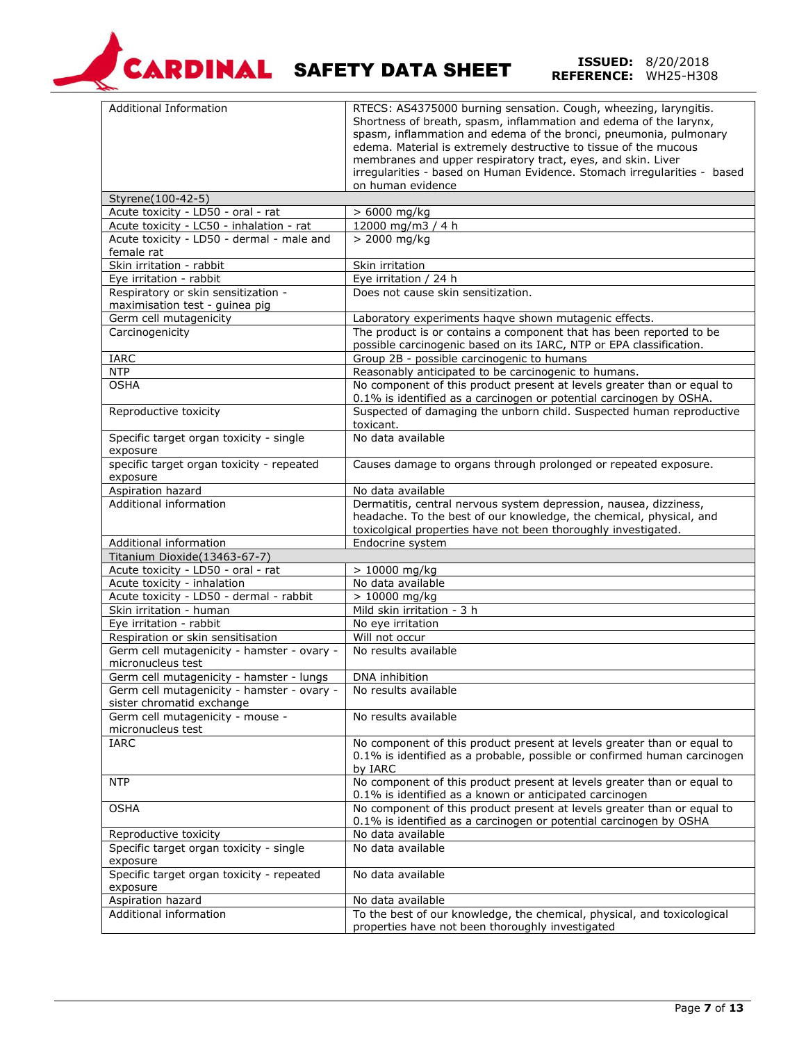

**REFERENCE:** 8/20/2018<br>**REFERENCE:** WH25-H308

| <b>Additional Information</b>                                                  | RTECS: AS4375000 burning sensation. Cough, wheezing, laryngitis.<br>Shortness of breath, spasm, inflammation and edema of the larynx,<br>spasm, inflammation and edema of the bronci, pneumonia, pulmonary<br>edema. Material is extremely destructive to tissue of the mucous<br>membranes and upper respiratory tract, eyes, and skin. Liver<br>irregularities - based on Human Evidence. Stomach irregularities - based<br>on human evidence |
|--------------------------------------------------------------------------------|-------------------------------------------------------------------------------------------------------------------------------------------------------------------------------------------------------------------------------------------------------------------------------------------------------------------------------------------------------------------------------------------------------------------------------------------------|
|                                                                                |                                                                                                                                                                                                                                                                                                                                                                                                                                                 |
| Styrene(100-42-5)                                                              |                                                                                                                                                                                                                                                                                                                                                                                                                                                 |
| Acute toxicity - LD50 - oral - rat<br>Acute toxicity - LC50 - inhalation - rat | $> 6000$ mg/kg<br>12000 mg/m3 / 4 h                                                                                                                                                                                                                                                                                                                                                                                                             |
| Acute toxicity - LD50 - dermal - male and                                      | > 2000 mg/kg                                                                                                                                                                                                                                                                                                                                                                                                                                    |
| female rat                                                                     |                                                                                                                                                                                                                                                                                                                                                                                                                                                 |
| Skin irritation - rabbit                                                       | Skin irritation                                                                                                                                                                                                                                                                                                                                                                                                                                 |
| Eye irritation - rabbit                                                        | Eye irritation / 24 h                                                                                                                                                                                                                                                                                                                                                                                                                           |
| Respiratory or skin sensitization -<br>maximisation test - guinea pig          | Does not cause skin sensitization.                                                                                                                                                                                                                                                                                                                                                                                                              |
| Germ cell mutagenicity                                                         | Laboratory experiments haqve shown mutagenic effects.                                                                                                                                                                                                                                                                                                                                                                                           |
| Carcinogenicity                                                                | The product is or contains a component that has been reported to be<br>possible carcinogenic based on its IARC, NTP or EPA classification.                                                                                                                                                                                                                                                                                                      |
| <b>IARC</b>                                                                    | Group 2B - possible carcinogenic to humans                                                                                                                                                                                                                                                                                                                                                                                                      |
| <b>NTP</b>                                                                     | Reasonably anticipated to be carcinogenic to humans.                                                                                                                                                                                                                                                                                                                                                                                            |
| <b>OSHA</b>                                                                    | No component of this product present at levels greater than or equal to                                                                                                                                                                                                                                                                                                                                                                         |
|                                                                                | 0.1% is identified as a carcinogen or potential carcinogen by OSHA.                                                                                                                                                                                                                                                                                                                                                                             |
| Reproductive toxicity                                                          | Suspected of damaging the unborn child. Suspected human reproductive<br>toxicant.                                                                                                                                                                                                                                                                                                                                                               |
| Specific target organ toxicity - single<br>exposure                            | No data available                                                                                                                                                                                                                                                                                                                                                                                                                               |
| specific target organ toxicity - repeated                                      | Causes damage to organs through prolonged or repeated exposure.                                                                                                                                                                                                                                                                                                                                                                                 |
| exposure                                                                       |                                                                                                                                                                                                                                                                                                                                                                                                                                                 |
| Aspiration hazard                                                              | No data available                                                                                                                                                                                                                                                                                                                                                                                                                               |
| Additional information                                                         | Dermatitis, central nervous system depression, nausea, dizziness,                                                                                                                                                                                                                                                                                                                                                                               |
|                                                                                | headache. To the best of our knowledge, the chemical, physical, and                                                                                                                                                                                                                                                                                                                                                                             |
|                                                                                | toxicolgical properties have not been thoroughly investigated.                                                                                                                                                                                                                                                                                                                                                                                  |
| Additional information                                                         | Endocrine system                                                                                                                                                                                                                                                                                                                                                                                                                                |
| Titanium Dioxide(13463-67-7)                                                   |                                                                                                                                                                                                                                                                                                                                                                                                                                                 |
| Acute toxicity - LD50 - oral - rat                                             | $> 10000$ mg/kg                                                                                                                                                                                                                                                                                                                                                                                                                                 |
| Acute toxicity - inhalation                                                    | No data available                                                                                                                                                                                                                                                                                                                                                                                                                               |
| Acute toxicity - LD50 - dermal - rabbit                                        | $> 10000$ mg/kg                                                                                                                                                                                                                                                                                                                                                                                                                                 |
| Skin irritation - human                                                        | Mild skin irritation - 3 h                                                                                                                                                                                                                                                                                                                                                                                                                      |
| Eye irritation - rabbit                                                        | No eye irritation                                                                                                                                                                                                                                                                                                                                                                                                                               |
| Respiration or skin sensitisation                                              | Will not occur                                                                                                                                                                                                                                                                                                                                                                                                                                  |
| Germ cell mutagenicity - hamster - ovary -<br>micronucleus test                | No results available                                                                                                                                                                                                                                                                                                                                                                                                                            |
| Germ cell mutagenicity - hamster - lungs                                       | DNA inhibition                                                                                                                                                                                                                                                                                                                                                                                                                                  |
| Germ cell mutagenicity - hamster - ovary -                                     | No results available                                                                                                                                                                                                                                                                                                                                                                                                                            |
| sister chromatid exchange                                                      |                                                                                                                                                                                                                                                                                                                                                                                                                                                 |
| Germ cell mutagenicity - mouse -<br>micronucleus test                          | No results available                                                                                                                                                                                                                                                                                                                                                                                                                            |
| <b>IARC</b>                                                                    | No component of this product present at levels greater than or equal to                                                                                                                                                                                                                                                                                                                                                                         |
|                                                                                | 0.1% is identified as a probable, possible or confirmed human carcinogen<br>by IARC                                                                                                                                                                                                                                                                                                                                                             |
| <b>NTP</b>                                                                     | No component of this product present at levels greater than or equal to<br>0.1% is identified as a known or anticipated carcinogen                                                                                                                                                                                                                                                                                                              |
| <b>OSHA</b>                                                                    | No component of this product present at levels greater than or equal to<br>0.1% is identified as a carcinogen or potential carcinogen by OSHA                                                                                                                                                                                                                                                                                                   |
| Reproductive toxicity                                                          | No data available                                                                                                                                                                                                                                                                                                                                                                                                                               |
| Specific target organ toxicity - single                                        | No data available                                                                                                                                                                                                                                                                                                                                                                                                                               |
| exposure<br>Specific target organ toxicity - repeated                          | No data available                                                                                                                                                                                                                                                                                                                                                                                                                               |
| exposure                                                                       |                                                                                                                                                                                                                                                                                                                                                                                                                                                 |
| <b>Aspiration hazard</b>                                                       | No data available                                                                                                                                                                                                                                                                                                                                                                                                                               |
| Additional information                                                         | To the best of our knowledge, the chemical, physical, and toxicological<br>properties have not been thoroughly investigated                                                                                                                                                                                                                                                                                                                     |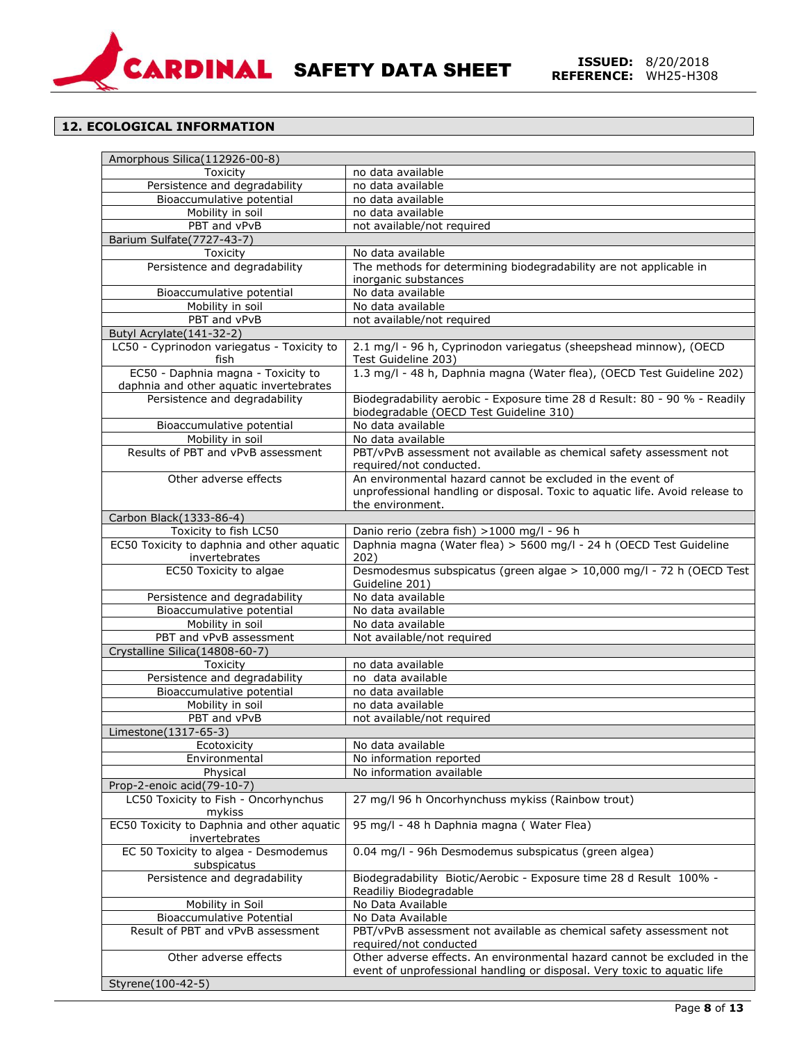

# **12. ECOLOGICAL INFORMATION**

| Amorphous Silica(112926-00-8)                                                 |                                                                                                                                                                |
|-------------------------------------------------------------------------------|----------------------------------------------------------------------------------------------------------------------------------------------------------------|
| Toxicity                                                                      | no data available                                                                                                                                              |
| Persistence and degradability                                                 | no data available                                                                                                                                              |
| Bioaccumulative potential                                                     | no data available                                                                                                                                              |
| Mobility in soil                                                              | no data available                                                                                                                                              |
| PBT and vPvB                                                                  | not available/not required                                                                                                                                     |
| Barium Sulfate(7727-43-7)                                                     |                                                                                                                                                                |
| Toxicity                                                                      | No data available                                                                                                                                              |
| Persistence and degradability                                                 | The methods for determining biodegradability are not applicable in                                                                                             |
| Bioaccumulative potential                                                     | inorganic substances<br>No data available                                                                                                                      |
| Mobility in soil                                                              | No data available                                                                                                                                              |
| PBT and vPvB                                                                  | not available/not required                                                                                                                                     |
| Butyl Acrylate(141-32-2)                                                      |                                                                                                                                                                |
| LC50 - Cyprinodon variegatus - Toxicity to<br>fish                            | 2.1 mg/l - 96 h, Cyprinodon variegatus (sheepshead minnow), (OECD<br>Test Guideline 203)                                                                       |
| EC50 - Daphnia magna - Toxicity to<br>daphnia and other aquatic invertebrates | 1.3 mg/l - 48 h, Daphnia magna (Water flea), (OECD Test Guideline 202)                                                                                         |
| Persistence and degradability                                                 | Biodegradability aerobic - Exposure time 28 d Result: 80 - 90 % - Readily<br>biodegradable (OECD Test Guideline 310)                                           |
| Bioaccumulative potential                                                     | No data available                                                                                                                                              |
| Mobility in soil                                                              | No data available                                                                                                                                              |
| Results of PBT and vPvB assessment                                            | PBT/vPvB assessment not available as chemical safety assessment not<br>required/not conducted.                                                                 |
| Other adverse effects                                                         | An environmental hazard cannot be excluded in the event of<br>unprofessional handling or disposal. Toxic to aquatic life. Avoid release to<br>the environment. |
| Carbon Black(1333-86-4)                                                       |                                                                                                                                                                |
| Toxicity to fish LC50                                                         | Danio rerio (zebra fish) >1000 mg/l - 96 h                                                                                                                     |
| EC50 Toxicity to daphnia and other aquatic<br>invertebrates                   | Daphnia magna (Water flea) > 5600 mg/l - 24 h (OECD Test Guideline<br>202)                                                                                     |
| EC50 Toxicity to algae                                                        | Desmodesmus subspicatus (green algae > 10,000 mg/l - 72 h (OECD Test<br>Guideline 201)                                                                         |
| Persistence and degradability                                                 | No data available                                                                                                                                              |
| Bioaccumulative potential                                                     | No data available                                                                                                                                              |
| Mobility in soil                                                              | No data available                                                                                                                                              |
| PBT and vPvB assessment                                                       | Not available/not required                                                                                                                                     |
| Crystalline Silica(14808-60-7)                                                |                                                                                                                                                                |
| Toxicity                                                                      | no data available                                                                                                                                              |
| Persistence and degradability                                                 | no data available                                                                                                                                              |
| Bioaccumulative potential                                                     | no data available                                                                                                                                              |
| Mobility in soil                                                              | no data available                                                                                                                                              |
| PBT and vPvB<br>Limestone(1317-65-3)                                          | not available/not required                                                                                                                                     |
| Ecotoxicity                                                                   | No data available                                                                                                                                              |
| Environmental                                                                 | No information reported                                                                                                                                        |
| Physical                                                                      | No information available                                                                                                                                       |
| Prop-2-enoic acid(79-10-7)                                                    |                                                                                                                                                                |
| LC50 Toxicity to Fish - Oncorhynchus<br>mykiss                                | 27 mg/l 96 h Oncorhynchuss mykiss (Rainbow trout)                                                                                                              |
| EC50 Toxicity to Daphnia and other aquatic<br>invertebrates                   | 95 mg/l - 48 h Daphnia magna (Water Flea)                                                                                                                      |
| EC 50 Toxicity to algea - Desmodemus<br>subspicatus                           | 0.04 mg/l - 96h Desmodemus subspicatus (green algea)                                                                                                           |
| Persistence and degradability                                                 | Biodegradability Biotic/Aerobic - Exposure time 28 d Result 100% -<br>Readiliy Biodegradable                                                                   |
| Mobility in Soil                                                              | No Data Available                                                                                                                                              |
| <b>Bioaccumulative Potential</b>                                              | No Data Available                                                                                                                                              |
| Result of PBT and vPvB assessment                                             | PBT/vPvB assessment not available as chemical safety assessment not<br>required/not conducted                                                                  |
| Other adverse effects                                                         | Other adverse effects. An environmental hazard cannot be excluded in the<br>event of unprofessional handling or disposal. Very toxic to aquatic life           |
| Styrene(100-42-5)                                                             |                                                                                                                                                                |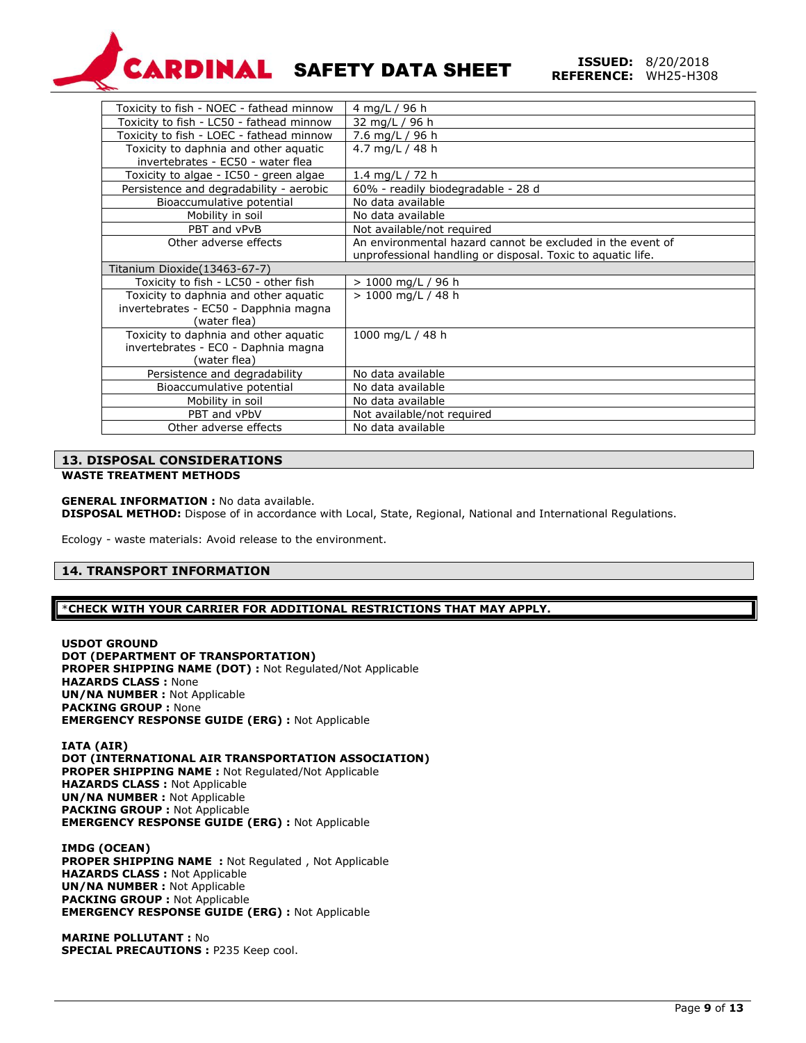

| Toxicity to fish - NOEC - fathead minnow | 4 mg/L / 96 h                                               |
|------------------------------------------|-------------------------------------------------------------|
| Toxicity to fish - LC50 - fathead minnow | 32 mg/L / 96 h                                              |
| Toxicity to fish - LOEC - fathead minnow | 7.6 mg/L / 96 h                                             |
| Toxicity to daphnia and other aquatic    | 4.7 mg/L / 48 h                                             |
| invertebrates - EC50 - water flea        |                                                             |
| Toxicity to algae - IC50 - green algae   | 1.4 mg/L / 72 h                                             |
| Persistence and degradability - aerobic  | 60% - readily biodegradable - 28 d                          |
| Bioaccumulative potential                | No data available                                           |
| Mobility in soil                         | No data available                                           |
| PBT and vPvB                             | Not available/not required                                  |
| Other adverse effects                    | An environmental hazard cannot be excluded in the event of  |
|                                          | unprofessional handling or disposal. Toxic to aquatic life. |
| Titanium Dioxide(13463-67-7)             |                                                             |
| Toxicity to fish - LC50 - other fish     | $> 1000$ mg/L / 96 h                                        |
| Toxicity to daphnia and other aquatic    | > 1000 mg/L / 48 h                                          |
| invertebrates - EC50 - Dapphnia magna    |                                                             |
| (water flea)                             |                                                             |
| Toxicity to daphnia and other aquatic    | 1000 mg/L / 48 h                                            |
| invertebrates - EC0 - Daphnia magna      |                                                             |
| (water flea)                             |                                                             |
| Persistence and degradability            | No data available                                           |
| Bioaccumulative potential                | No data available                                           |
| Mobility in soil                         | No data available                                           |
| PBT and vPbV                             | Not available/not required                                  |
| Other adverse effects                    | No data available                                           |
|                                          |                                                             |

#### **13. DISPOSAL CONSIDERATIONS**

#### **WASTE TREATMENT METHODS**

#### **GENERAL INFORMATION :** No data available.

**DISPOSAL METHOD:** Dispose of in accordance with Local, State, Regional, National and International Regulations.

Ecology - waste materials: Avoid release to the environment.

## **14. TRANSPORT INFORMATION**

\***CHECK WITH YOUR CARRIER FOR ADDITIONAL RESTRICTIONS THAT MAY APPLY.**

**USDOT GROUND DOT (DEPARTMENT OF TRANSPORTATION) PROPER SHIPPING NAME (DOT) :** Not Regulated/Not Applicable **HAZARDS CLASS :** None **UN/NA NUMBER :** Not Applicable **PACKING GROUP :** None **EMERGENCY RESPONSE GUIDE (ERG) :** Not Applicable

**IATA (AIR) DOT (INTERNATIONAL AIR TRANSPORTATION ASSOCIATION) PROPER SHIPPING NAME :** Not Regulated/Not Applicable **HAZARDS CLASS :** Not Applicable **UN/NA NUMBER :** Not Applicable **PACKING GROUP :** Not Applicable **EMERGENCY RESPONSE GUIDE (ERG) :** Not Applicable

**IMDG (OCEAN) PROPER SHIPPING NAME :** Not Regulated , Not Applicable **HAZARDS CLASS :** Not Applicable **UN/NA NUMBER :** Not Applicable **PACKING GROUP :** Not Applicable **EMERGENCY RESPONSE GUIDE (ERG) :** Not Applicable

**MARINE POLLUTANT :** No **SPECIAL PRECAUTIONS :** P235 Keep cool.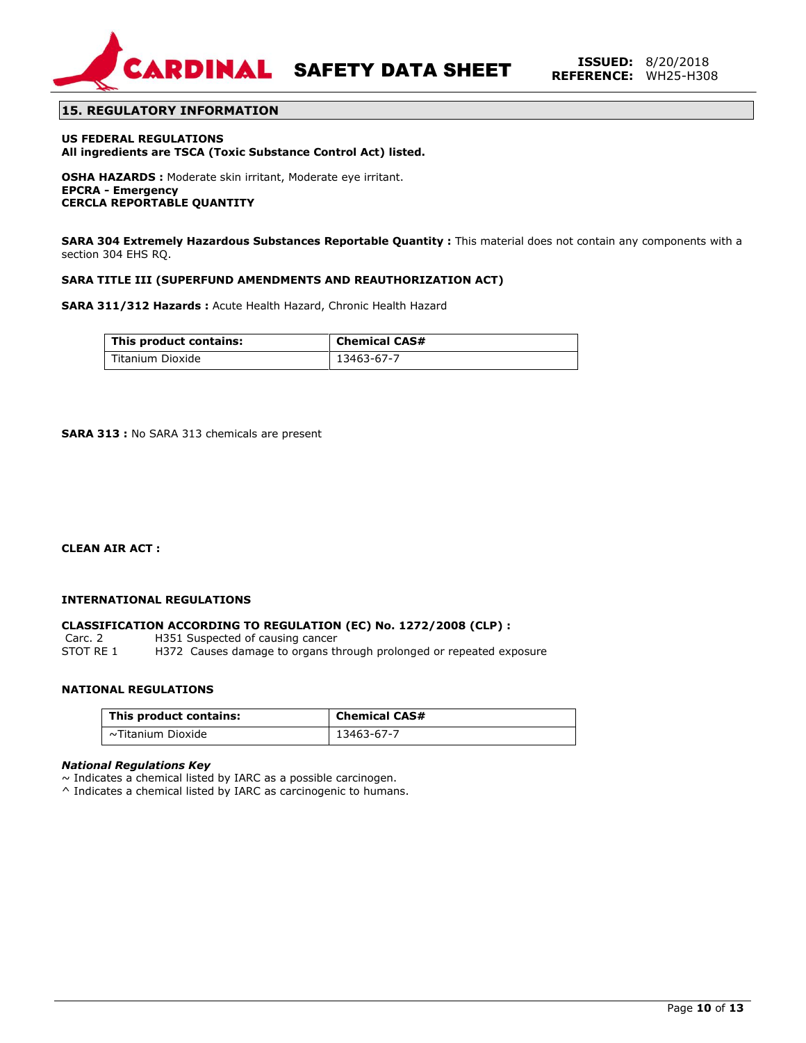

**SARDINAL SAFETY DATA SHEET ISSUED:** 8/20/2018

## **15. REGULATORY INFORMATION**

**US FEDERAL REGULATIONS All ingredients are TSCA (Toxic Substance Control Act) listed.**

**OSHA HAZARDS :** Moderate skin irritant, Moderate eye irritant. **EPCRA - Emergency CERCLA REPORTABLE QUANTITY**

**SARA 304 Extremely Hazardous Substances Reportable Quantity :** This material does not contain any components with a section 304 EHS RQ.

#### **SARA TITLE III (SUPERFUND AMENDMENTS AND REAUTHORIZATION ACT)**

**SARA 311/312 Hazards :** Acute Health Hazard, Chronic Health Hazard

| This product contains: | <b>Chemical CAS#</b> |
|------------------------|----------------------|
| Titanium Dioxide       | 13463-67-7           |

**SARA 313 :** No SARA 313 chemicals are present

**CLEAN AIR ACT :** 

#### **INTERNATIONAL REGULATIONS**

#### **CLASSIFICATION ACCORDING TO REGULATION (EC) No. 1272/2008 (CLP) :**

Carc. 2 H351 Suspected of causing cancer<br>STOT RE 1 H372 Causes damage to organs the H372 Causes damage to organs through prolonged or repeated exposure

### **NATIONAL REGULATIONS**

| This product contains: | <b>Chemical CAS#</b> |
|------------------------|----------------------|
| ~Titanium Dioxide      | 13463-67-7           |

#### *National Regulations Key*

 $\sim$  Indicates a chemical listed by IARC as a possible carcinogen.

^ Indicates a chemical listed by IARC as carcinogenic to humans.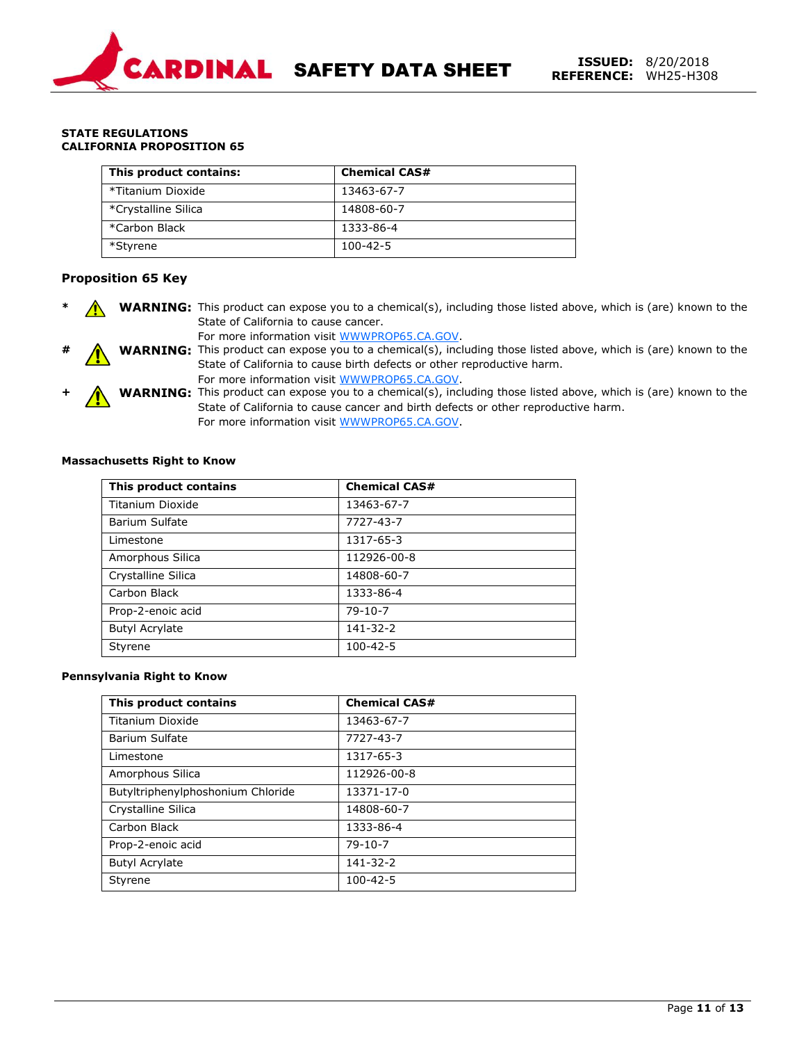

#### **STATE REGULATIONS CALIFORNIA PROPOSITION 65**

| This product contains: | <b>Chemical CAS#</b> |
|------------------------|----------------------|
| *Titanium Dioxide      | 13463-67-7           |
| *Crystalline Silica    | 14808-60-7           |
| *Carbon Black          | 1333-86-4            |
| *Styrene               | 100-42-5             |

## **Proposition 65 Key**

- **\* WARNING:** This product can expose you to a chemical(s), including those listed above, which is (are) known to the State of California to cause cancer.
	- For more information visit WWWPROP65.CA.GOV.
	- **# WARNING:** This product can expose you to a chemical(s), including those listed above, which is (are) known to the State of California to cause birth defects or other reproductive harm. For more information visit WWWPROP65.CA.GOV.
		- **+ WARNING:** This product can expose you to a chemical(s), including those listed above, which is (are) known to the State of California to cause cancer and birth defects or other reproductive harm. For more information visit WWWPROP65.CA.GOV.

#### **Massachusetts Right to Know**

| This product contains | <b>Chemical CAS#</b> |
|-----------------------|----------------------|
| Titanium Dioxide      | 13463-67-7           |
| Barium Sulfate        | 7727-43-7            |
| Limestone             | 1317-65-3            |
| Amorphous Silica      | 112926-00-8          |
| Crystalline Silica    | 14808-60-7           |
| Carbon Black          | 1333-86-4            |
| Prop-2-enoic acid     | $79-10-7$            |
| <b>Butyl Acrylate</b> | 141-32-2             |
| Styrene               | $100 - 42 - 5$       |

#### **Pennsylvania Right to Know**

| This product contains             | <b>Chemical CAS#</b> |
|-----------------------------------|----------------------|
| <b>Titanium Dioxide</b>           | 13463-67-7           |
| Barium Sulfate                    | 7727-43-7            |
| Limestone                         | 1317-65-3            |
| Amorphous Silica                  | 112926-00-8          |
| Butyltriphenylphoshonium Chloride | 13371-17-0           |
| Crystalline Silica                | 14808-60-7           |
| Carbon Black                      | 1333-86-4            |
| Prop-2-enoic acid                 | $79 - 10 - 7$        |
| <b>Butyl Acrylate</b>             | 141-32-2             |
| Styrene                           | $100 - 42 - 5$       |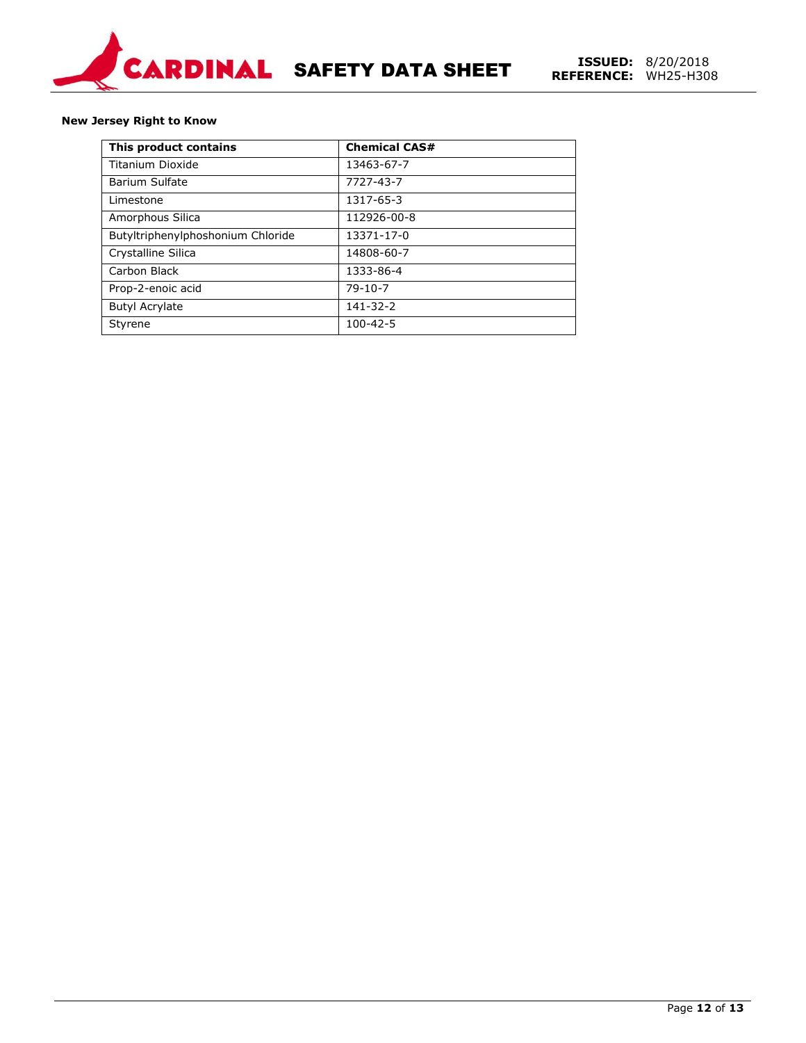

#### **New Jersey Right to Know**

| This product contains             | <b>Chemical CAS#</b> |
|-----------------------------------|----------------------|
| Titanium Dioxide                  | 13463-67-7           |
| <b>Barium Sulfate</b>             | 7727-43-7            |
| Limestone                         | 1317-65-3            |
| Amorphous Silica                  | 112926-00-8          |
| Butyltriphenylphoshonium Chloride | 13371-17-0           |
| Crystalline Silica                | 14808-60-7           |
| Carbon Black                      | 1333-86-4            |
| Prop-2-enoic acid                 | $79-10-7$            |
| <b>Butyl Acrylate</b>             | $141 - 32 - 2$       |
| Styrene                           | $100 - 42 - 5$       |